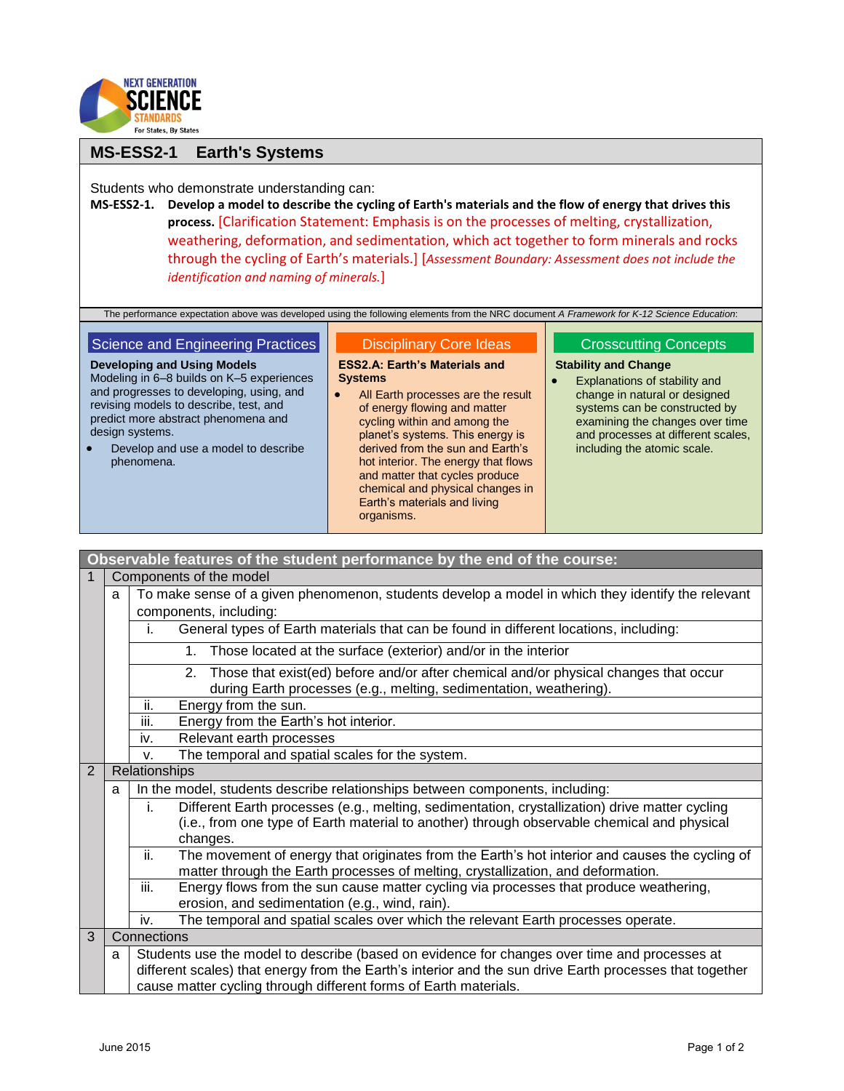

# **MS-ESS2-1 Earth's Systems**

Students who demonstrate understanding can:

**MS-ESS2-1. Develop a model to describe the cycling of Earth's materials and the flow of energy that drives this process.** [Clarification Statement: Emphasis is on the processes of melting, crystallization, weathering, deformation, and sedimentation, which act together to form minerals and rocks through the cycling of Earth's materials.] [*Assessment Boundary: Assessment does not include the identification and naming of minerals.*]

The performance expectation above was developed using the following elements from the NRC document *A Framework for K-12 Science Education*:

### Science and Engineering Practices

**Developing and Using Models** Modeling in 6–8 builds on K–5 experiences and progresses to developing, using, and revising models to describe, test, and predict more abstract phenomena and design systems.

 Develop and use a model to describe phenomena.

#### Disciplinary Core Ideas

**ESS2.A: Earth's Materials and Systems**

• All Earth processes are the result of energy flowing and matter cycling within and among the planet's systems. This energy is derived from the sun and Earth's hot interior. The energy that flows and matter that cycles produce chemical and physical changes in Earth's materials and living organisms.

## Crosscutting Concepts

### **Stability and Change**

 Explanations of stability and change in natural or designed systems can be constructed by examining the changes over time and processes at different scales, including the atomic scale.

| Observable features of the student performance by the end of the course: |                        |                                                                                                                                                                                           |  |  |  |
|--------------------------------------------------------------------------|------------------------|-------------------------------------------------------------------------------------------------------------------------------------------------------------------------------------------|--|--|--|
| Components of the model                                                  |                        |                                                                                                                                                                                           |  |  |  |
|                                                                          | a                      | To make sense of a given phenomenon, students develop a model in which they identify the relevant                                                                                         |  |  |  |
|                                                                          | components, including: |                                                                                                                                                                                           |  |  |  |
|                                                                          |                        | General types of Earth materials that can be found in different locations, including:<br>İ.                                                                                               |  |  |  |
|                                                                          |                        | Those located at the surface (exterior) and/or in the interior<br>1.                                                                                                                      |  |  |  |
|                                                                          |                        | Those that exist(ed) before and/or after chemical and/or physical changes that occur<br>2 <sub>1</sub><br>during Earth processes (e.g., melting, sedimentation, weathering).              |  |  |  |
|                                                                          |                        | ii.<br>Energy from the sun.                                                                                                                                                               |  |  |  |
|                                                                          |                        | iii.<br>Energy from the Earth's hot interior.                                                                                                                                             |  |  |  |
|                                                                          |                        | Relevant earth processes<br>iv.                                                                                                                                                           |  |  |  |
|                                                                          |                        | The temporal and spatial scales for the system.<br>V.                                                                                                                                     |  |  |  |
| $\overline{2}$                                                           |                        | Relationships                                                                                                                                                                             |  |  |  |
|                                                                          | a                      | In the model, students describe relationships between components, including:                                                                                                              |  |  |  |
|                                                                          |                        | Different Earth processes (e.g., melting, sedimentation, crystallization) drive matter cycling<br>İ.                                                                                      |  |  |  |
|                                                                          |                        | (i.e., from one type of Earth material to another) through observable chemical and physical                                                                                               |  |  |  |
|                                                                          |                        | changes.                                                                                                                                                                                  |  |  |  |
|                                                                          |                        | ii.<br>The movement of energy that originates from the Earth's hot interior and causes the cycling of<br>matter through the Earth processes of melting, crystallization, and deformation. |  |  |  |
|                                                                          |                        | iii.<br>Energy flows from the sun cause matter cycling via processes that produce weathering,                                                                                             |  |  |  |
|                                                                          |                        | erosion, and sedimentation (e.g., wind, rain).                                                                                                                                            |  |  |  |
|                                                                          |                        | The temporal and spatial scales over which the relevant Earth processes operate.<br>iv.                                                                                                   |  |  |  |
|                                                                          | Connections<br>3       |                                                                                                                                                                                           |  |  |  |
|                                                                          | a                      | Students use the model to describe (based on evidence for changes over time and processes at                                                                                              |  |  |  |
|                                                                          |                        | different scales) that energy from the Earth's interior and the sun drive Earth processes that together                                                                                   |  |  |  |
|                                                                          |                        | cause matter cycling through different forms of Earth materials.                                                                                                                          |  |  |  |